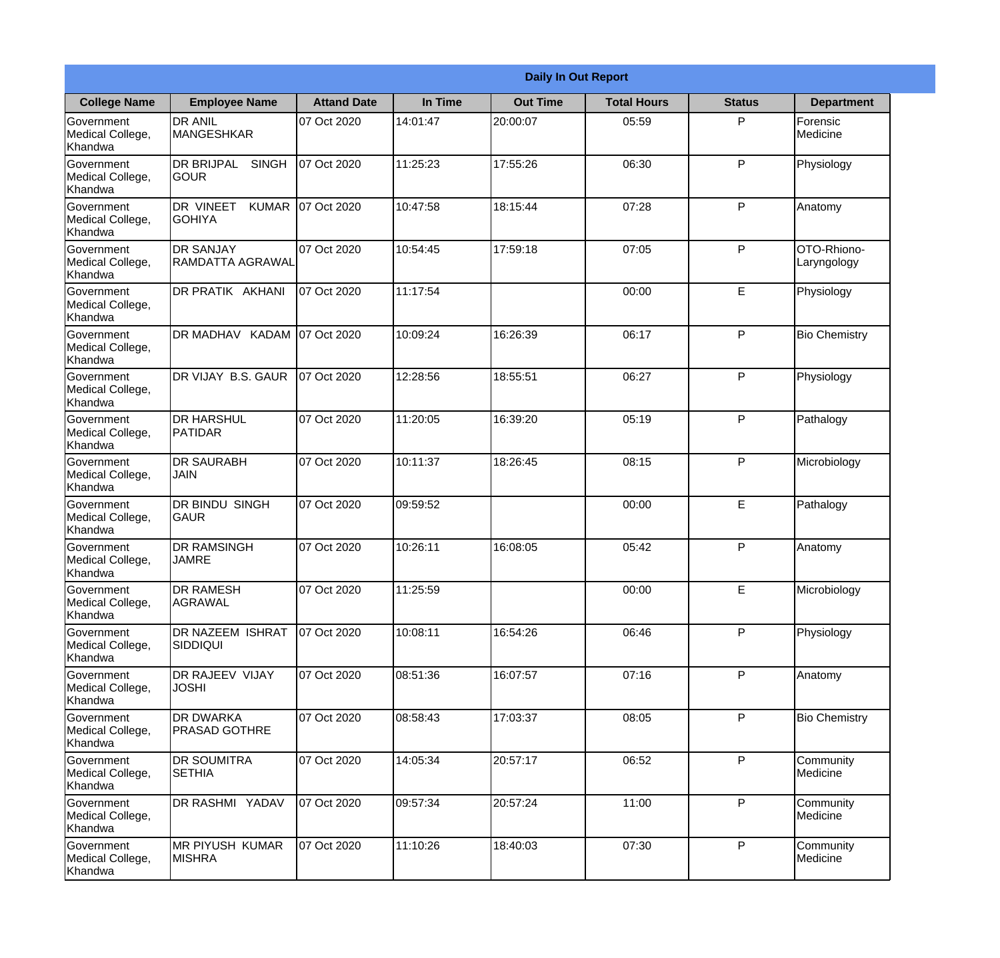|                                                  |                                              |                    |          | <b>Daily In Out Report</b> |                    |               |                            |
|--------------------------------------------------|----------------------------------------------|--------------------|----------|----------------------------|--------------------|---------------|----------------------------|
| <b>College Name</b>                              | <b>Employee Name</b>                         | <b>Attand Date</b> | In Time  | <b>Out Time</b>            | <b>Total Hours</b> | <b>Status</b> | <b>Department</b>          |
| Government<br>Medical College,<br>Khandwa        | <b>DR ANIL</b><br><b>MANGESHKAR</b>          | 07 Oct 2020        | 14:01:47 | 20:00:07                   | 05:59              | P             | Forensic<br>Medicine       |
| Government<br>Medical College,<br>Khandwa        | <b>DR BRIJPAL</b><br><b>SINGH</b><br> GOUR   | 07 Oct 2020        | 11:25:23 | 17:55:26                   | 06:30              | P             | Physiology                 |
| <b>Government</b><br>Medical College,<br>Khandwa | DR VINEET<br><b>KUMAR</b><br><b>I</b> GOHIYA | 07 Oct 2020        | 10:47:58 | 18:15:44                   | 07:28              | P             | Anatomy                    |
| Government<br>Medical College,<br>Khandwa        | <b>DR SANJAY</b><br><b>RAMDATTA AGRAWAL</b>  | 07 Oct 2020        | 10:54:45 | 17:59:18                   | 07:05              | P             | OTO-Rhiono-<br>Laryngology |
| Government<br>Medical College,<br>Khandwa        | <b>DR PRATIK AKHANI</b>                      | 07 Oct 2020        | 11:17:54 |                            | 00:00              | E             | Physiology                 |
| Government<br>Medical College,<br>Khandwa        | DR MADHAV KADAM 07 Oct 2020                  |                    | 10:09:24 | 16:26:39                   | 06:17              | P             | <b>Bio Chemistry</b>       |
| Government<br>Medical College,<br>Khandwa        | DR VIJAY B.S. GAUR                           | 07 Oct 2020        | 12:28:56 | 18:55:51                   | 06:27              | P             | Physiology                 |
| <b>Government</b><br>Medical College,<br>Khandwa | <b>DR HARSHUL</b><br>PATIDAR                 | 07 Oct 2020        | 11:20:05 | 16:39:20                   | 05:19              | P             | Pathalogy                  |
| Government<br>Medical College,<br>Khandwa        | <b>DR SAURABH</b><br><b>JAIN</b>             | 07 Oct 2020        | 10:11:37 | 18:26:45                   | 08:15              | P             | Microbiology               |
| Government<br>Medical College,<br>Khandwa        | <b>DR BINDU SINGH</b><br> GAUR               | 07 Oct 2020        | 09:59:52 |                            | 00:00              | E             | Pathalogy                  |
| Government<br>Medical College,<br>Khandwa        | <b>DR RAMSINGH</b><br><b>JAMRE</b>           | 07 Oct 2020        | 10:26:11 | 16:08:05                   | 05:42              | $\mathsf{P}$  | Anatomy                    |
| Government<br>Medical College,<br>Khandwa        | <b>DR RAMESH</b><br>AGRAWAL                  | 07 Oct 2020        | 11:25:59 |                            | 00:00              | E             | Microbiology               |
| Government<br>Medical College,<br>Khandwa        | <b>DR NAZEEM ISHRAT</b><br>SIDDIQUI          | 07 Oct 2020        | 10:08:11 | 16:54:26                   | 06:46              | P             | Physiology                 |
| Government<br>Medical College,<br>Khandwa        | <b>DR RAJEEV VIJAY</b><br><b>JOSHI</b>       | 07 Oct 2020        | 08:51:36 | 16:07:57                   | 07:16              | P             | Anatomy                    |
| Government<br>Medical College,<br>Khandwa        | <b>DR DWARKA</b><br><b>PRASAD GOTHRE</b>     | 07 Oct 2020        | 08:58:43 | 17:03:37                   | 08:05              | $\mathsf{P}$  | <b>Bio Chemistry</b>       |
| Government<br>Medical College,<br>Khandwa        | <b>DR SOUMITRA</b><br><b>SETHIA</b>          | 07 Oct 2020        | 14:05:34 | 20:57:17                   | 06:52              | P             | Community<br>Medicine      |
| Government<br>Medical College,<br>Khandwa        | DR RASHMI YADAV                              | 07 Oct 2020        | 09:57:34 | 20:57:24                   | 11:00              | P             | Community<br>Medicine      |
| Government<br>Medical College,<br>Khandwa        | <b>MR PIYUSH KUMAR</b><br><b>MISHRA</b>      | 07 Oct 2020        | 11:10:26 | 18:40:03                   | 07:30              | P             | Community<br>Medicine      |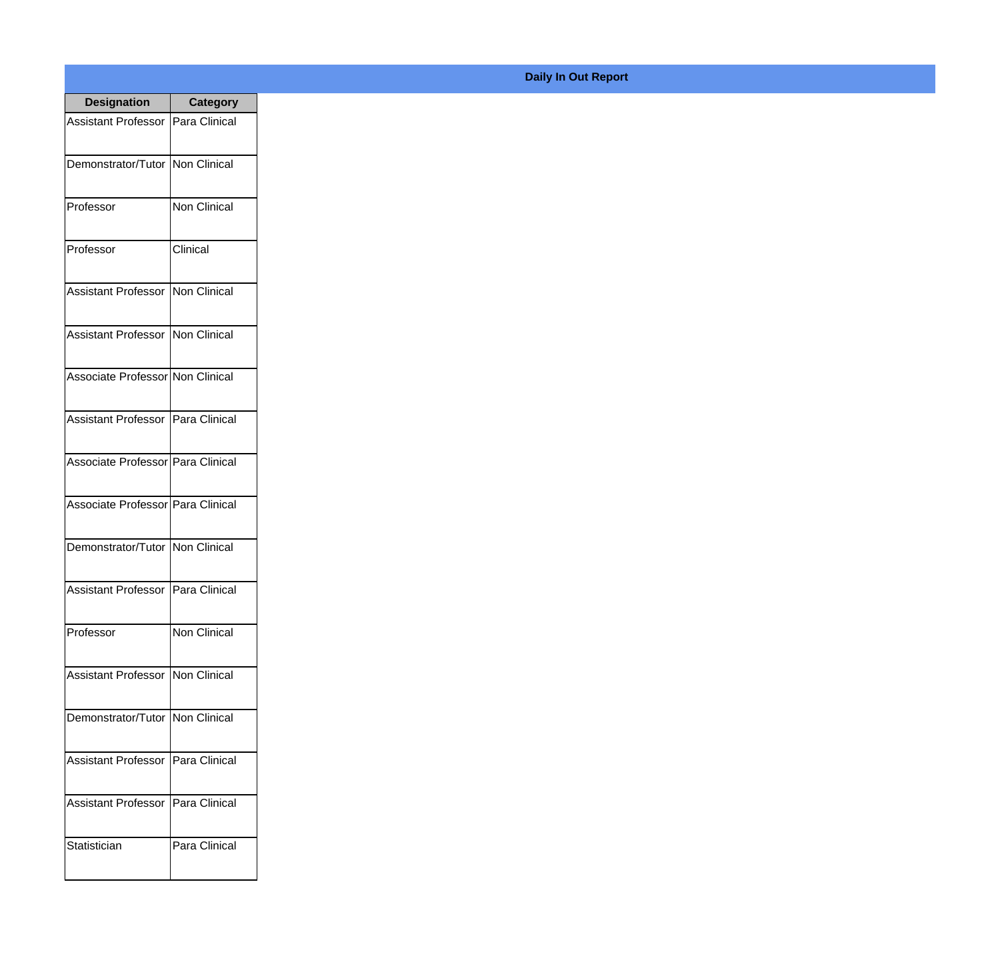| <b>Designation</b>                  | <b>Category</b>     |
|-------------------------------------|---------------------|
| Assistant Professor   Para Clinical |                     |
| Demonstrator/Tutor   Non Clinical   |                     |
| Professor                           | Non Clinical        |
| Professor                           | Clinical            |
| <b>Assistant Professor</b>          | Non Clinical        |
| Assistant Professor   Non Clinical  |                     |
| Associate Professor Non Clinical    |                     |
| Assistant Professor   Para Clinical |                     |
| Associate Professor Para Clinical   |                     |
| Associate Professor Para Clinical   |                     |
| Demonstrator/Tutor                  | Non Clinical        |
| Assistant Professor   Para Clinical |                     |
| Professor                           | <b>Non Clinical</b> |
| Assistant Professor   Non Clinical  |                     |
| Demonstrator/Tutor                  | Non Clinical        |
| <b>Assistant Professor</b>          | Para Clinical       |
| <b>Assistant Professor</b>          | Para Clinical       |
| Statistician                        | Para Clinical       |

**Daily In Out Report**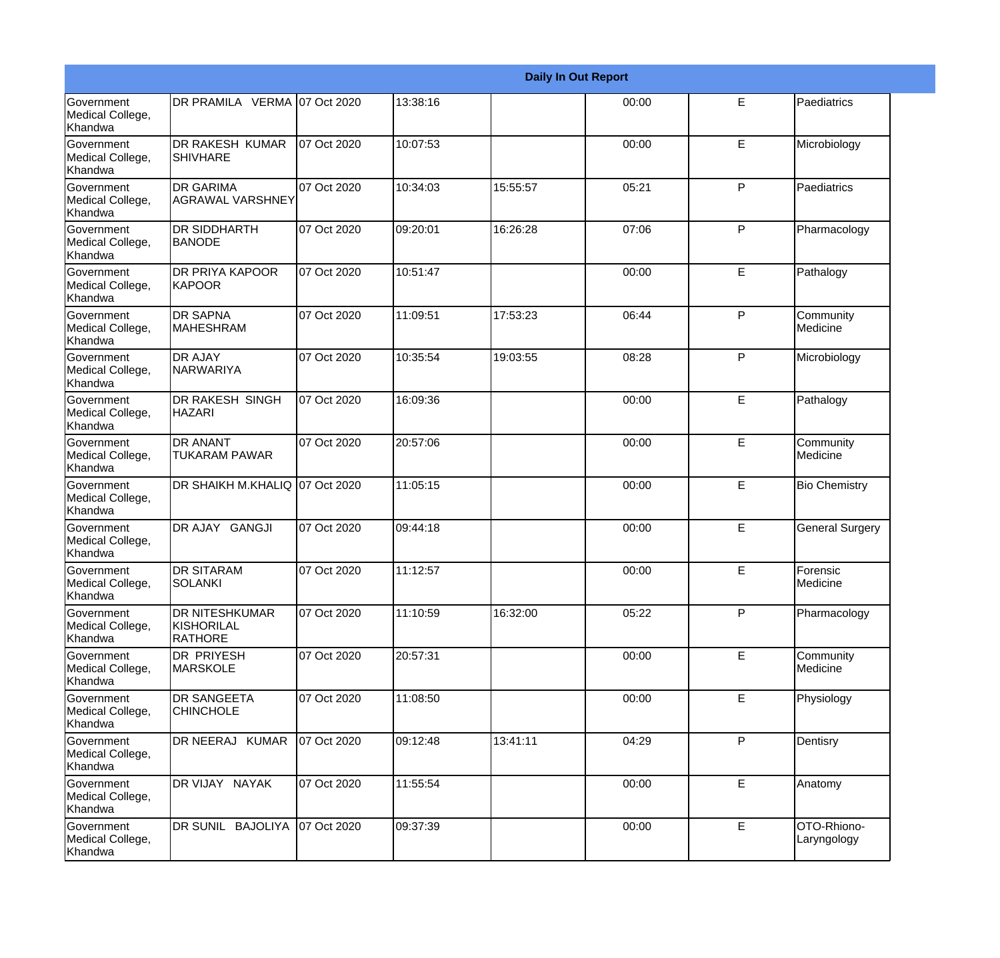|                                                  |                                                       |             |          |          | <b>Daily In Out Report</b> |              |                            |
|--------------------------------------------------|-------------------------------------------------------|-------------|----------|----------|----------------------------|--------------|----------------------------|
| <b>Government</b><br>Medical College,<br>Khandwa | DR PRAMILA VERMA 07 Oct 2020                          |             | 13:38:16 |          | 00:00                      | E            | Paediatrics                |
| <b>Government</b><br>Medical College,<br>Khandwa | DR RAKESH KUMAR<br><b>SHIVHARE</b>                    | 07 Oct 2020 | 10:07:53 |          | 00:00                      | E            | Microbiology               |
| <b>Government</b><br>Medical College,<br>Khandwa | <b>DR GARIMA</b><br>AGRAWAL VARSHNEY                  | 07 Oct 2020 | 10:34:03 | 15:55:57 | 05:21                      | P            | Paediatrics                |
| <b>Government</b><br>Medical College,<br>Khandwa | <b>DR SIDDHARTH</b><br><b>BANODE</b>                  | 07 Oct 2020 | 09:20:01 | 16:26:28 | 07:06                      | P            | Pharmacology               |
| <b>Government</b><br>Medical College,<br>Khandwa | DR PRIYA KAPOOR<br>KAPOOR                             | 07 Oct 2020 | 10:51:47 |          | 00:00                      | E            | Pathalogy                  |
| <b>Government</b><br>Medical College,<br>Khandwa | <b>DR SAPNA</b><br><b>MAHESHRAM</b>                   | 07 Oct 2020 | 11:09:51 | 17:53:23 | 06:44                      | $\mathsf{P}$ | Community<br>Medicine      |
| Government<br>Medical College,<br>Khandwa        | <b>DR AJAY</b><br>INARWARIYA                          | 07 Oct 2020 | 10:35:54 | 19:03:55 | 08:28                      | P            | Microbiology               |
| Government<br>Medical College,<br>Khandwa        | DR RAKESH SINGH<br><b>HAZARI</b>                      | 07 Oct 2020 | 16:09:36 |          | 00:00                      | E            | Pathalogy                  |
| Government<br>Medical College,<br>Khandwa        | <b>DR ANANT</b><br><b>TUKARAM PAWAR</b>               | 07 Oct 2020 | 20:57:06 |          | 00:00                      | E            | Community<br>Medicine      |
| <b>Government</b><br>Medical College,<br>Khandwa | DR SHAIKH M.KHALIQ 07 Oct 2020                        |             | 11:05:15 |          | 00:00                      | E            | <b>Bio Chemistry</b>       |
| <b>Government</b><br>Medical College,<br>Khandwa | DR AJAY GANGJI                                        | 07 Oct 2020 | 09:44:18 |          | 00:00                      | E            | <b>General Surgery</b>     |
| Government<br>Medical College,<br>Khandwa        | <b>DR SITARAM</b><br>SOLANKI                          | 07 Oct 2020 | 11:12:57 |          | 00:00                      | E            | Forensic<br>Medicine       |
| <b>Government</b><br>Medical College,<br>Khandwa | <b>DR NITESHKUMAR</b><br>KISHORILAL<br><b>RATHORE</b> | 07 Oct 2020 | 11:10:59 | 16:32:00 | 05:22                      | P            | Pharmacology               |
| Government<br>Medical College,<br>Khandwa        | <b>DR PRIYESH</b><br><b>MARSKOLE</b>                  | 07 Oct 2020 | 20:57:31 |          | 00:00                      | $\mathsf E$  | Community<br>Medicine      |
| Government<br>Medical College,<br>Khandwa        | <b>DR SANGEETA</b><br><b>CHINCHOLE</b>                | 07 Oct 2020 | 11:08:50 |          | 00:00                      | E            | Physiology                 |
| Government<br>Medical College,<br>Khandwa        | DR NEERAJ KUMAR                                       | 07 Oct 2020 | 09:12:48 | 13:41:11 | 04:29                      | P            | Dentisry                   |
| Government<br>Medical College,<br>Khandwa        | DR VIJAY NAYAK                                        | 07 Oct 2020 | 11:55:54 |          | 00:00                      | E            | Anatomy                    |
| Government<br>Medical College,<br>Khandwa        | DR SUNIL BAJOLIYA                                     | 07 Oct 2020 | 09:37:39 |          | 00:00                      | E            | OTO-Rhiono-<br>Laryngology |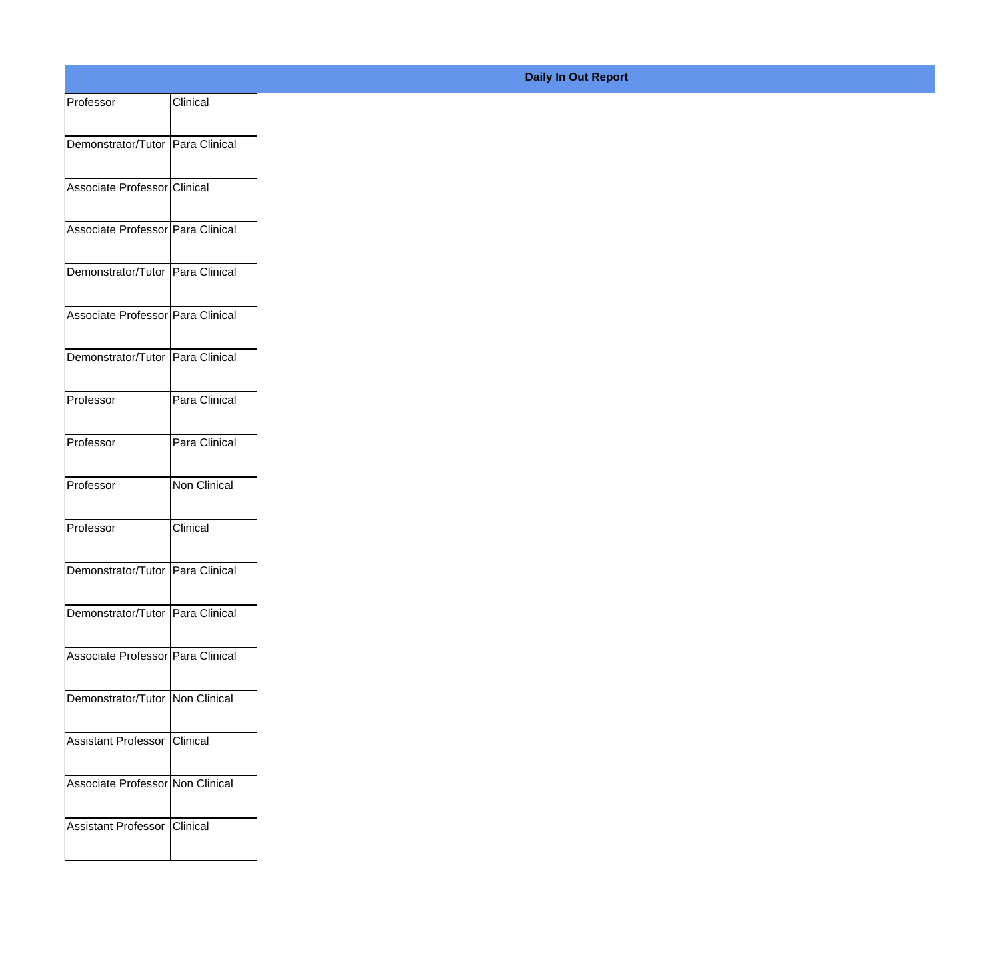| Professor                         | Clinical      |
|-----------------------------------|---------------|
| Demonstrator/Tutor Para Clinical  |               |
|                                   |               |
| Associate Professor Clinical      |               |
| Associate Professor Para Clinical |               |
| Demonstrator/Tutor Para Clinical  |               |
| Associate Professor Para Clinical |               |
| Demonstrator/Tutor Para Clinical  |               |
| Professor                         | Para Clinical |
| Professor                         | Para Clinical |
| Professor                         | Non Clinical  |
| Professor                         | Clinical      |
| Demonstrator/Tutor Para Clinical  |               |
| Demonstrator/Tutor Para Clinical  |               |
| Associate Professor Para Clinical |               |
| Demonstrator/Tutor   Non Clinical |               |
| Assistant Professor Clinical      |               |
| Associate Professor Non Clinical  |               |
|                                   |               |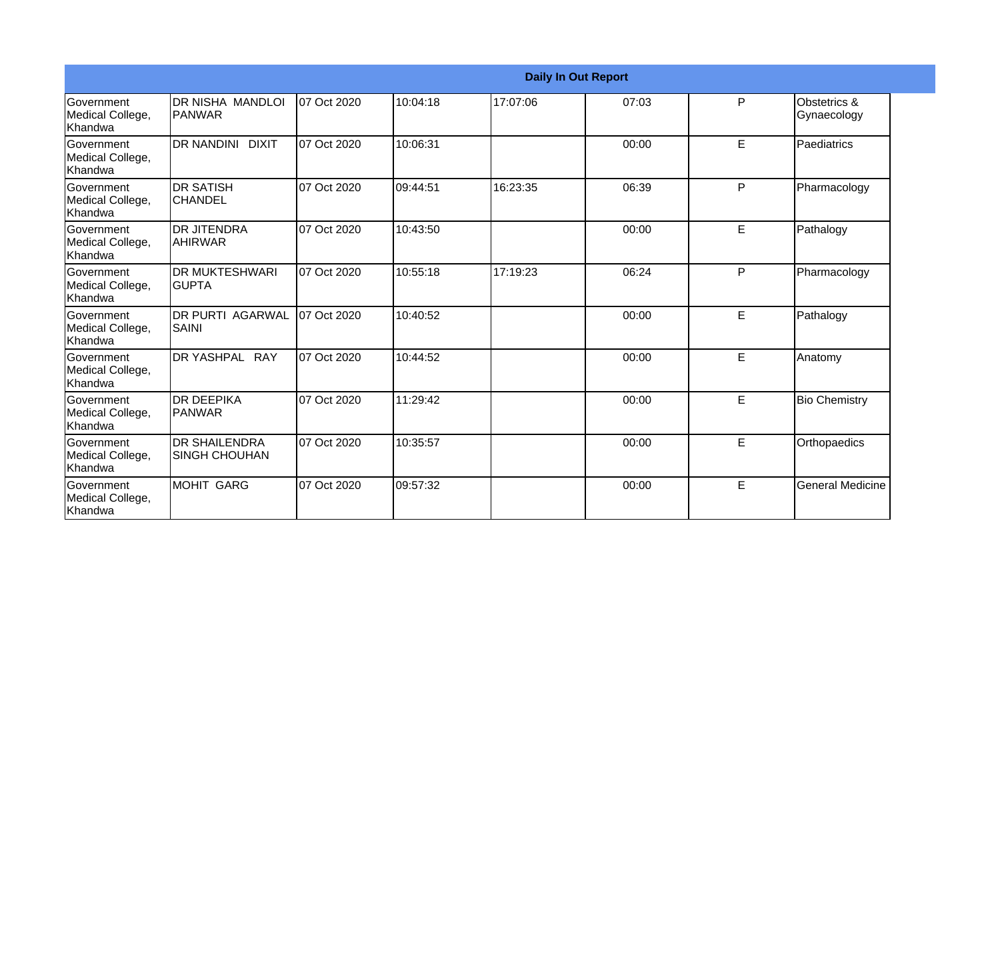|                                                  |                                               |             |          |          | <b>Daily In Out Report</b> |   |                             |
|--------------------------------------------------|-----------------------------------------------|-------------|----------|----------|----------------------------|---|-----------------------------|
| Government<br>Medical College,<br><b>Khandwa</b> | IDR NISHA MANDLOI<br> PANWAR                  | 07 Oct 2020 | 10:04:18 | 17:07:06 | 07:03                      | P | Obstetrics &<br>Gynaecology |
| <b>Government</b><br>Medical College,<br>Khandwa | DR NANDINI DIXIT                              | 07 Oct 2020 | 10:06:31 |          | 00:00                      | E | Paediatrics                 |
| Government<br>Medical College,<br>Khandwa        | <b>DR SATISH</b><br><b>CHANDEL</b>            | 07 Oct 2020 | 09:44:51 | 16:23:35 | 06:39                      | P | Pharmacology                |
| Government<br>Medical College,<br><b>Khandwa</b> | <b>DR JITENDRA</b><br><b>AHIRWAR</b>          | 07 Oct 2020 | 10:43:50 |          | 00:00                      | E | Pathalogy                   |
| Government<br>Medical College,<br><b>Khandwa</b> | <b>DR MUKTESHWARI</b><br><b>GUPTA</b>         | 07 Oct 2020 | 10:55:18 | 17:19:23 | 06:24                      | P | Pharmacology                |
| Government<br>Medical College,<br>Khandwa        | <b>DR PURTI AGARWAL</b><br><b>SAINI</b>       | 07 Oct 2020 | 10:40:52 |          | 00:00                      | E | Pathalogy                   |
| Government<br>Medical College,<br><b>Khandwa</b> | DR YASHPAL RAY                                | 07 Oct 2020 | 10:44:52 |          | 00:00                      | E | Anatomy                     |
| <b>Government</b><br>Medical College,<br>Khandwa | IDR DEEPIKA<br> PANWAR                        | 07 Oct 2020 | 11:29:42 |          | 00:00                      | E | <b>Bio Chemistry</b>        |
| Government<br>Medical College,<br>Khandwa        | <b>IDR SHAILENDRA</b><br><b>SINGH CHOUHAN</b> | 07 Oct 2020 | 10:35:57 |          | 00:00                      | E | Orthopaedics                |
| <b>Government</b><br>Medical College,<br>Khandwa | MOHIT GARG                                    | 07 Oct 2020 | 09:57:32 |          | 00:00                      | E | <b>General Medicine</b>     |